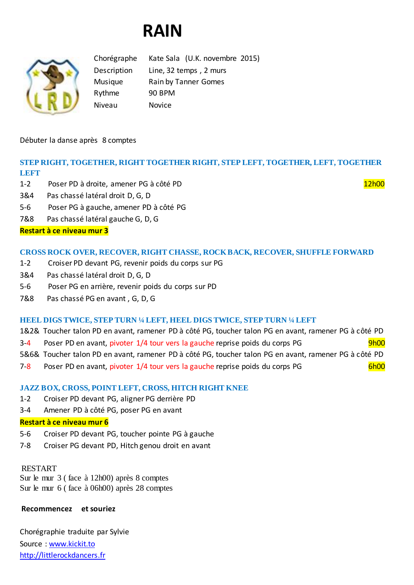# **RAIN**



Chorégraphe Kate Sala (U.K. novembre 2015) Description Line, 32 temps , 2 murs Musique Rain by Tanner Gomes Rythme 90 BPM Niveau Novice

Débuter la danse après 8 comptes

# **STEP RIGHT, TOGETHER, RIGHT TOGETHER RIGHT, STEP LEFT, TOGETHER, LEFT, TOGETHER LEFT**

- 1-2 Poser PD à droite, amener PG à côté PD 12h00 en 12h00 12h00 12h00 12h00 12h00 12h00 12h00 12h00 12h00 12h00
- 3&4 Pas chassé latéral droit D, G, D
- 5-6 Poser PG à gauche, amener PD à côté PG
- 7&8 Pas chassé latéral gauche G, D, G

# **Restart à ce niveau mur 3**

## **CROSS ROCK OVER, RECOVER, RIGHT CHASSE, ROCK BACK, RECOVER, SHUFFLE FORWARD**

- 1-2 Croiser PD devant PG, revenir poids du corps sur PG
- 3&4 Pas chassé latéral droit D, G, D
- 5-6 Poser PG en arrière, revenir poids du corps sur PD
- 7&8 Pas chassé PG en avant , G, D, G

#### **HEEL DIGS TWICE, STEP TURN ¼ LEFT, HEEL DIGS TWICE, STEP TURN ¼ LEFT**

- 1&2& Toucher talon PD en avant, ramener PD à côté PG, toucher talon PG en avant, ramener PG à côté PD 3-4 Poser PD en avant, pivoter 1/4 tour vers la gauche reprise poids du corps PG 9h00
- 5&6& Toucher talon PD en avant, ramener PD à côté PG, toucher talon PG en avant, ramener PG à côté PD
- 7-8 Poser PD en avant, pivoter 1/4 tour vers la gauche reprise poids du corps PG 6h00

## **JAZZ BOX, CROSS, POINT LEFT, CROSS, HITCH RIGHT KNEE**

- 1-2 Croiser PD devant PG, aligner PG derrière PD
- 3-4 Amener PD à côté PG, poser PG en avant

#### **Restart à ce niveau mur 6**

- 5-6 Croiser PD devant PG, toucher pointe PG à gauche
- 7-8 Croiser PG devant PD, Hitch genou droit en avant

#### RESTART

Sur le mur 3 ( face à 12h00) après 8 comptes Sur le mur 6 ( face à 06h00) après 28 comptes

#### **Recommencez et souriez**

Chorégraphie traduite par Sylvie Source : [www.kickit.to](http://www.kickit.to/) [http://littlerockdancers.fr](http://littlerockdancers.fr/)